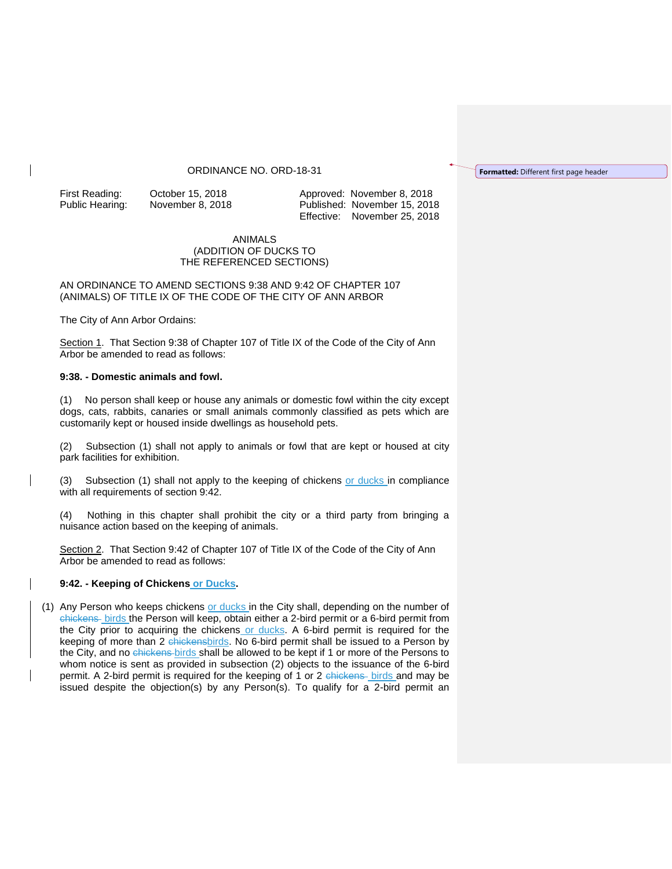## ORDINANCE NO. ORD-18-31

First Reading: October 15, 2018 Approved: November 8, 2018 Public Hearing: November 8, 2018 Published: November 15, 2018 Effective: November 25, 2018

## ANIMALS (ADDITION OF DUCKS TO THE REFERENCED SECTIONS)

AN ORDINANCE TO AMEND SECTIONS 9:38 AND 9:42 OF CHAPTER 107 (ANIMALS) OF TITLE IX OF THE CODE OF THE CITY OF ANN ARBOR

The City of Ann Arbor Ordains:

Section 1. That Section 9:38 of Chapter 107 of Title IX of the Code of the City of Ann Arbor be amended to read as follows:

## **9:38. - Domestic animals and fowl.**

(1) No person shall keep or house any animals or domestic fowl within the city except dogs, cats, rabbits, canaries or small animals commonly classified as pets which are customarily kept or housed inside dwellings as household pets.

(2) Subsection (1) shall not apply to animals or fowl that are kept or housed at city park facilities for exhibition.

(3) Subsection (1) shall not apply to the keeping of chickens or ducks in compliance with all requirements of section 9:42.

(4) Nothing in this chapter shall prohibit the city or a third party from bringing a nuisance action based on the keeping of animals.

Section 2. That Section 9:42 of Chapter 107 of Title IX of the Code of the City of Ann Arbor be amended to read as follows:

## **9:42. - Keeping of Chickens or Ducks.**

(1) Any Person who keeps chickens or ducks in the City shall, depending on the number of chickens birds the Person will keep, obtain either a 2-bird permit or a 6-bird permit from the City prior to acquiring the chickens or ducks. A 6-bird permit is required for the keeping of more than 2 chickensbirds. No 6-bird permit shall be issued to a Person by the City, and no chickens birds shall be allowed to be kept if 1 or more of the Persons to whom notice is sent as provided in subsection (2) objects to the issuance of the 6-bird permit. A 2-bird permit is required for the keeping of 1 or 2 chickens birds and may be issued despite the objection(s) by any Person(s). To qualify for a 2-bird permit an **Formatted:** Different first page header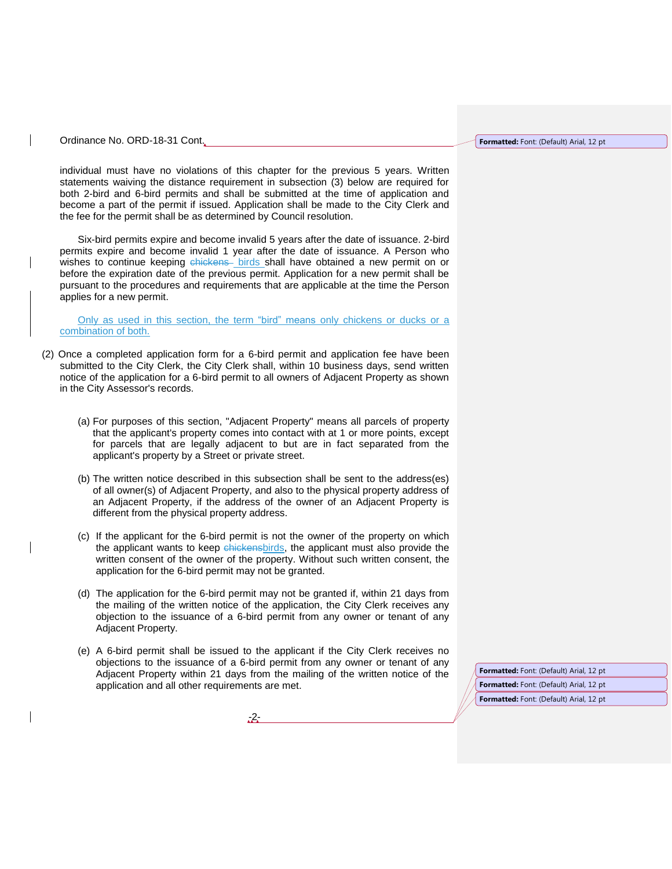Ordinance No. ORD-18-31 Cont.

individual must have no violations of this chapter for the previous 5 years. Written statements waiving the distance requirement in subsection (3) below are required for both 2-bird and 6-bird permits and shall be submitted at the time of application and become a part of the permit if issued. Application shall be made to the City Clerk and the fee for the permit shall be as determined by Council resolution.

Six-bird permits expire and become invalid 5 years after the date of issuance. 2-bird permits expire and become invalid 1 year after the date of issuance. A Person who wishes to continue keeping chickens birds shall have obtained a new permit on or before the expiration date of the previous permit. Application for a new permit shall be pursuant to the procedures and requirements that are applicable at the time the Person applies for a new permit.

Only as used in this section, the term "bird" means only chickens or ducks or a combination of both.

- (2) Once a completed application form for a 6-bird permit and application fee have been submitted to the City Clerk, the City Clerk shall, within 10 business days, send written notice of the application for a 6-bird permit to all owners of Adjacent Property as shown in the City Assessor's records.
	- (a) For purposes of this section, "Adjacent Property" means all parcels of property that the applicant's property comes into contact with at 1 or more points, except for parcels that are legally adjacent to but are in fact separated from the applicant's property by a Street or private street.
	- (b) The written notice described in this subsection shall be sent to the address(es) of all owner(s) of Adjacent Property, and also to the physical property address of an Adjacent Property, if the address of the owner of an Adjacent Property is different from the physical property address.
	- (c) If the applicant for the 6-bird permit is not the owner of the property on which the applicant wants to keep chickensbirds, the applicant must also provide the written consent of the owner of the property. Without such written consent, the application for the 6-bird permit may not be granted.
	- (d) The application for the 6-bird permit may not be granted if, within 21 days from the mailing of the written notice of the application, the City Clerk receives any objection to the issuance of a 6-bird permit from any owner or tenant of any Adjacent Property.
	- (e) A 6-bird permit shall be issued to the applicant if the City Clerk receives no objections to the issuance of a 6-bird permit from any owner or tenant of any Adjacent Property within 21 days from the mailing of the written notice of the application and all other requirements are met.

-2-

**Formatted:** Font: (Default) Arial, 12 pt **Formatted:** Font: (Default) Arial, 12 pt **Formatted:** Font: (Default) Arial, 12 pt

**Formatted:** Font: (Default) Arial, 12 pt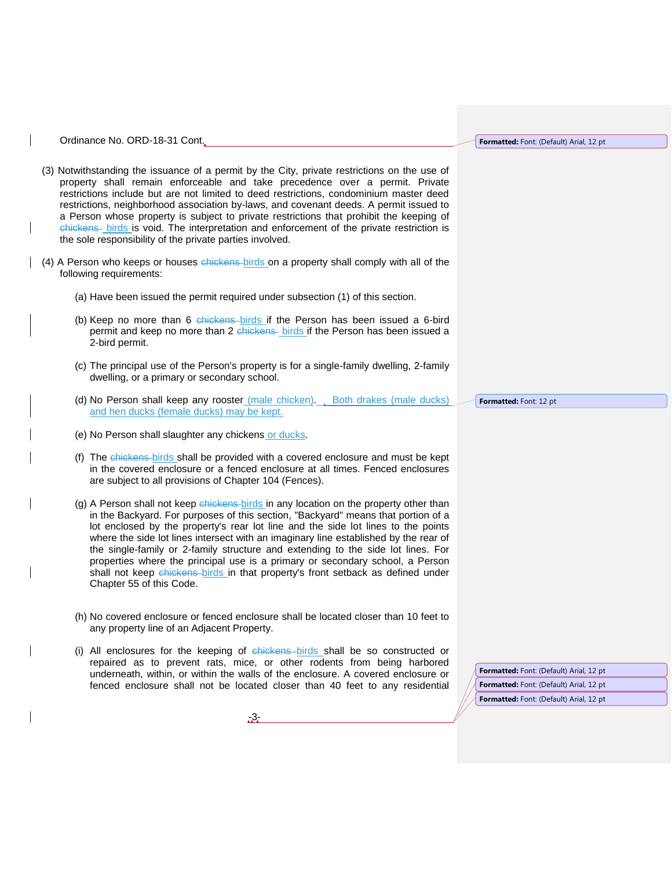Ordinance No. ORD-18-31 Cont.

- (3) Notwithstanding the issuance of a permit by the City, private restrictions on the use of property shall remain enforceable and take precedence over a permit. Private restrictions include but are not limited to deed restrictions, condominium master deed restrictions, neighborhood association by-laws, and covenant deeds. A permit issued to a Person whose property is subject to private restrictions that prohibit the keeping of chickens - birds is void. The interpretation and enforcement of the private restriction is the sole responsibility of the private parties involved.
- (4) A Person who keeps or houses chickens birds on a property shall comply with all of the following requirements:
	- (a) Have been issued the permit required under subsection (1) of this section.
	- (b) Keep no more than 6 chickens birds if the Person has been issued a 6-bird permit and keep no more than 2 chickens birds if the Person has been issued a 2-bird permit.
	- (c) The principal use of the Person's property is for a single-family dwelling, 2-family dwelling, or a primary or secondary school.
	- (d) No Person shall keep any rooster (male chicken). Both drakes (male ducks) and hen ducks (female ducks) may be kept.
	- (e) No Person shall slaughter any chickens or ducks.
	- (f) The chickens birds shall be provided with a covered enclosure and must be kept in the covered enclosure or a fenced enclosure at all times. Fenced enclosures are subject to all provisions of Chapter 104 (Fences).
	- (g) A Person shall not keep chickens birds in any location on the property other than in the Backyard. For purposes of this section, "Backyard" means that portion of a lot enclosed by the property's rear lot line and the side lot lines to the points where the side lot lines intersect with an imaginary line established by the rear of the single-family or 2-family structure and extending to the side lot lines. For properties where the principal use is a primary or secondary school, a Person shall not keep chickens birds in that property's front setback as defined under Chapter 55 of this Code.
	- (h) No covered enclosure or fenced enclosure shall be located closer than 10 feet to any property line of an Adjacent Property.
	- (i) All enclosures for the keeping of chickens birds shall be so constructed or repaired as to prevent rats, mice, or other rodents from being harbored underneath, within, or within the walls of the enclosure. A covered enclosure or fenced enclosure shall not be located closer than 40 feet to any residential

**Formatted:** Font: (Default) Arial, 12 pt **Formatted:** Font: (Default) Arial, 12 pt **Formatted:** Font: (Default) Arial, 12 pt



**Formatted:** Font: 12 pt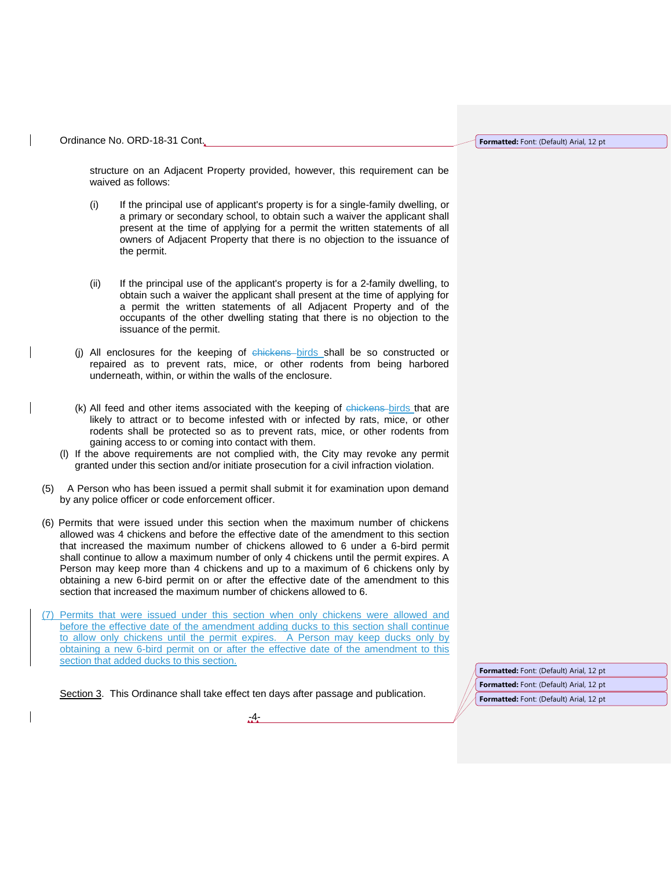Ordinance No. ORD-18-31 Cont.

**Formatted:** Font: (Default) Arial, 12 pt

structure on an Adjacent Property provided, however, this requirement can be waived as follows:

- (i) If the principal use of applicant's property is for a single-family dwelling, or a primary or secondary school, to obtain such a waiver the applicant shall present at the time of applying for a permit the written statements of all owners of Adjacent Property that there is no objection to the issuance of the permit.
- (ii) If the principal use of the applicant's property is for a 2-family dwelling, to obtain such a waiver the applicant shall present at the time of applying for a permit the written statements of all Adjacent Property and of the occupants of the other dwelling stating that there is no objection to the issuance of the permit.
- (j) All enclosures for the keeping of chickens birds shall be so constructed or repaired as to prevent rats, mice, or other rodents from being harbored underneath, within, or within the walls of the enclosure.
- (k) All feed and other items associated with the keeping of chickens birds that are likely to attract or to become infested with or infected by rats, mice, or other rodents shall be protected so as to prevent rats, mice, or other rodents from gaining access to or coming into contact with them.
- (l) If the above requirements are not complied with, the City may revoke any permit granted under this section and/or initiate prosecution for a civil infraction violation.
- (5) A Person who has been issued a permit shall submit it for examination upon demand by any police officer or code enforcement officer.
- (6) Permits that were issued under this section when the maximum number of chickens allowed was 4 chickens and before the effective date of the amendment to this section that increased the maximum number of chickens allowed to 6 under a 6-bird permit shall continue to allow a maximum number of only 4 chickens until the permit expires. A Person may keep more than 4 chickens and up to a maximum of 6 chickens only by obtaining a new 6-bird permit on or after the effective date of the amendment to this section that increased the maximum number of chickens allowed to 6.
- (7) Permits that were issued under this section when only chickens were allowed and before the effective date of the amendment adding ducks to this section shall continue to allow only chickens until the permit expires. A Person may keep ducks only by obtaining a new 6-bird permit on or after the effective date of the amendment to this section that added ducks to this section.

Section 3. This Ordinance shall take effect ten days after passage and publication.

-4-

**Formatted:** Font: (Default) Arial, 12 pt **Formatted:** Font: (Default) Arial, 12 pt **Formatted:** Font: (Default) Arial, 12 pt